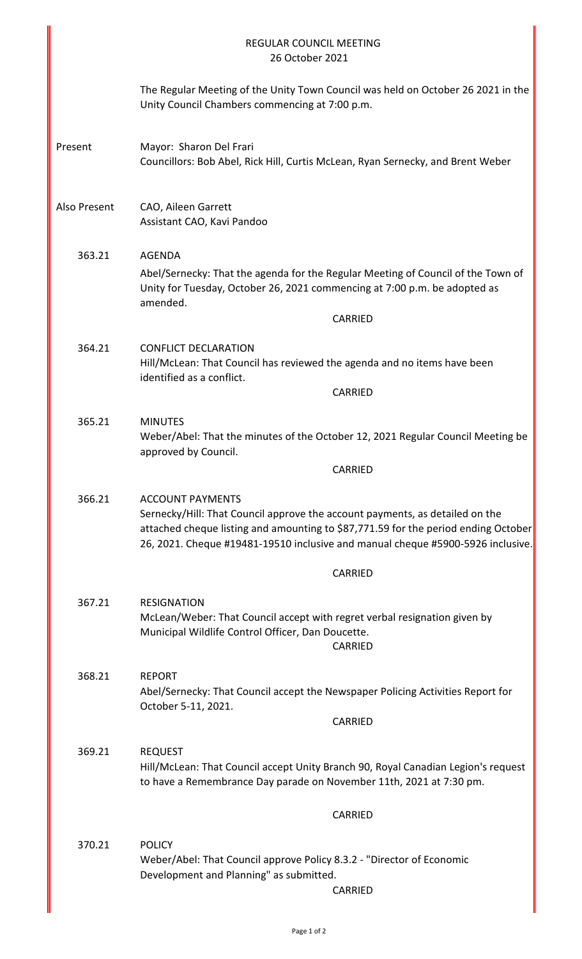|              | <b>REGULAR COUNCIL MEETING</b><br>26 October 2021                                                                                                                                                                                                                                |
|--------------|----------------------------------------------------------------------------------------------------------------------------------------------------------------------------------------------------------------------------------------------------------------------------------|
|              | The Regular Meeting of the Unity Town Council was held on October 26 2021 in the<br>Unity Council Chambers commencing at 7:00 p.m.                                                                                                                                               |
| Present      | Mayor: Sharon Del Frari<br>Councillors: Bob Abel, Rick Hill, Curtis McLean, Ryan Sernecky, and Brent Weber                                                                                                                                                                       |
| Also Present | CAO, Aileen Garrett<br>Assistant CAO, Kavi Pandoo                                                                                                                                                                                                                                |
| 363.21       | <b>AGENDA</b><br>Abel/Sernecky: That the agenda for the Regular Meeting of Council of the Town of<br>Unity for Tuesday, October 26, 2021 commencing at 7:00 p.m. be adopted as<br>amended.<br>CARRIED                                                                            |
| 364.21       | <b>CONFLICT DECLARATION</b><br>Hill/McLean: That Council has reviewed the agenda and no items have been<br>identified as a conflict.                                                                                                                                             |
|              | CARRIED                                                                                                                                                                                                                                                                          |
| 365.21       | <b>MINUTES</b><br>Weber/Abel: That the minutes of the October 12, 2021 Regular Council Meeting be<br>approved by Council.                                                                                                                                                        |
|              | CARRIED                                                                                                                                                                                                                                                                          |
| 366.21       | <b>ACCOUNT PAYMENTS</b><br>Sernecky/Hill: That Council approve the account payments, as detailed on the<br>attached cheque listing and amounting to \$87,771.59 for the period ending October<br>26, 2021. Cheque #19481-19510 inclusive and manual cheque #5900-5926 inclusive. |
|              | CARRIED                                                                                                                                                                                                                                                                          |
| 367.21       | <b>RESIGNATION</b><br>McLean/Weber: That Council accept with regret verbal resignation given by<br>Municipal Wildlife Control Officer, Dan Doucette.<br>CARRIED                                                                                                                  |
| 368.21       | <b>REPORT</b><br>Abel/Sernecky: That Council accept the Newspaper Policing Activities Report for<br>October 5-11, 2021.                                                                                                                                                          |
|              | CARRIED                                                                                                                                                                                                                                                                          |
| 369.21       | <b>REQUEST</b><br>Hill/McLean: That Council accept Unity Branch 90, Royal Canadian Legion's request<br>to have a Remembrance Day parade on November 11th, 2021 at 7:30 pm.                                                                                                       |
|              | CARRIED                                                                                                                                                                                                                                                                          |
| 370.21       | <b>POLICY</b><br>Weber/Abel: That Council approve Policy 8.3.2 - "Director of Economic<br>Development and Planning" as submitted.<br><b>CARRIED</b>                                                                                                                              |